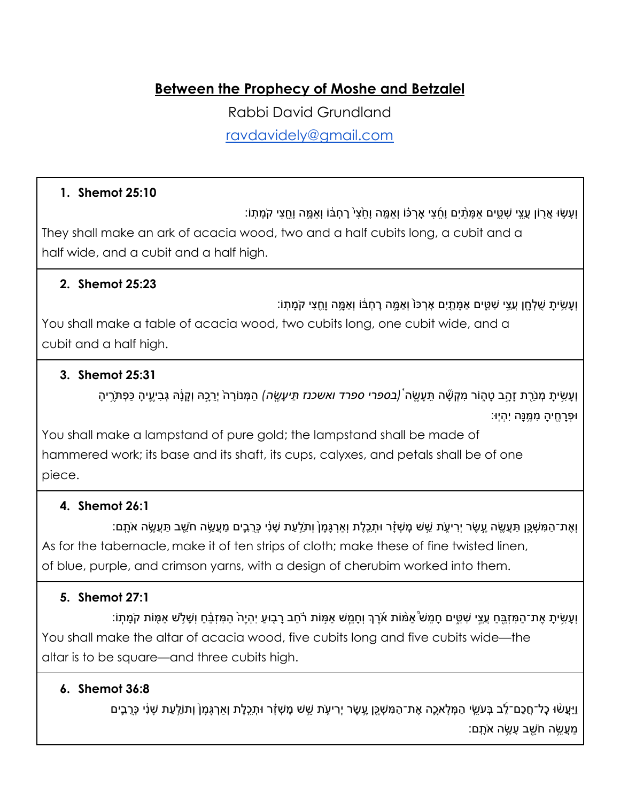**Between the Prophecy of Moshe and Betzalel**

Rabbi David Grundland

[ravdavidely@gmail.com](mailto:ravdavidely@gmail.com)

### **1. Shemot 25:10**

וְ ָע ׂ֥שּו ֲא֖רֹון ֲעֵ֣צי ִׁש ִּ֑טים ַא ָּמַ֨תיִם וָ ֵ֜ח ִצי ׇא ְר ּ֗כֹו וְ ַא ָּ֤מה וָ ֵ֙ח ִצ֙י ׇר ְח ּ֔בֹו וְ ַא ָּ֥מה וֵָ֖ח ִצי קֹ ָמ ֽתֹו׃ They shall make an ark of acacia wood, two and a half cubits long, a cubit and a half wide, and a cubit and a half high.

## **2. Shemot 25:23**

וְ ָע ִׂ֥ש ָ ית ֻׁש ְל ָ֖חן ֲעֵ֣צי ִׁש ִּ֑טים ַא ָּמ ַ֤תיִם ׇא ְרּכֹ֙ו וְ ַא ָּ֣מה ׇר ְח ּ֔בֹו וְ ַא ָּ֥מה וֵָ֖ח ִצי קֹ ָמ ֽתֹו׃

You shall make a table of acacia wood, two cubits long, one cubit wide, and a cubit and a half high.

## **3. Shemot 25:31**

וְעָשִׂיתָ מְנֹרֻת זָהֲב טָהֶוֹר מִקְשָּׁה תֵּעָשֶׂה *(בספרי ספרד ואשכנז תֵּיעָשֶׂה)* הַמְּנוֹרָה<sup>י</sup> יְרֵכֵהּ וְקָנָׂהּ גְּבִיעֶיהָ כַּפְתֹּרֶיהָ ּו ְפָר ֶ֖ח ָ יה ִמֶּ֥מּנָה יִ ְהיּֽו׃

You shall make a lampstand of pure gold; the lampstand shall be made of hammered work; its base and its shaft, its cups, calyxes, and petals shall be of one piece.

# **4. Shemot 26:1**

וְאֶת־הַמִּשְׁכֵּ׀ תַּעֲשֶׂה עֵשֶׂר יְרִיעֶׂת שֵׁשׁ מָשְׁזָר וּתָכֶלֶת וְאַרְגָּמָן וְתֹלֵעַת שָׁנִי כְּרֻבֶים מַעֲשֶׂה חֹשֵׁב תַּעֲשֶׂה אֹתָם: As for the tabernacle, make it of ten strips of cloth; make these of fine twisted linen, of blue, purple, and crimson yarns, with a design of cherubim worked into them.

# **5. Shemot 27:1**

וְעָשִׂיתָ אֶת־הַמְּזָבֵּחַ עֲצֵי שְׁטֵים חָמֶשׂ אַמּׁוֹת אֹרֶךְ וְחָמֶשׁ אַמְּוֹת רֹֹחַב רָבְוּעַ יְהָיֵה הַמְזבֶּחַ וְשָׁלָשׁ אַמָּוֹת קֹמָתְוֹ: You shall make the altar of acacia wood, five cubits long and five cubits wide—the altar is to be square—and three cubits high.

### **6. Shemot 36:8**

ַוַּיַעֲשׂוּ כָל־חֲכָם־לֶב בְּעַשֵׂי הַמְּלַאכֶה אֶת־הַמְּשָׁכֵּן עֵשֶׂר יִרִיעָׂת שֵׁטׁ מָשְׁזָר וּתָכֶלֶת וְאַרְגָּמַן וְתוֹלֻעַת שַׁנִּי כְּרֻבֶים ַּמְׁעֲשֶׂה חֹשֵׁב עַשֶׂה אֹתָם: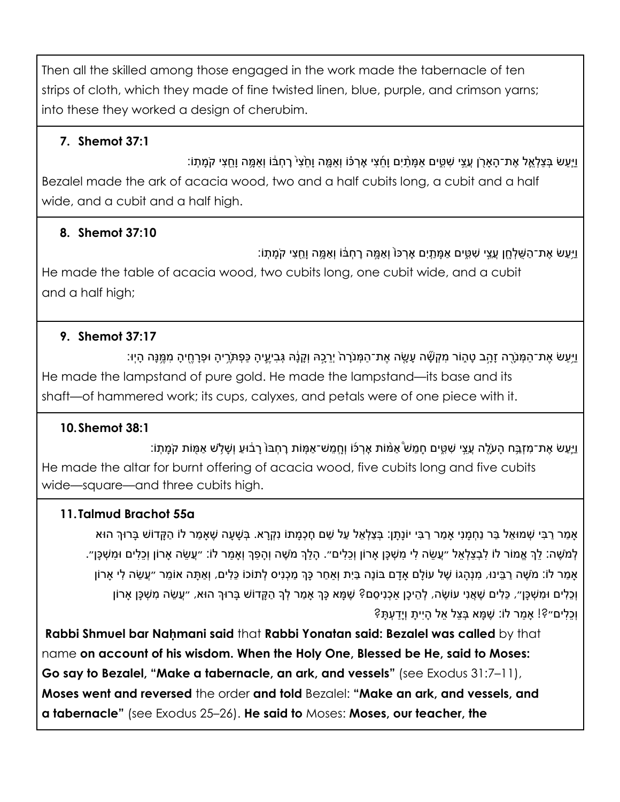Then all the skilled among those engaged in the work made the tabernacle of ten strips of cloth, which they made of fine twisted linen, blue, purple, and crimson yarns; into these they worked a design of cherubim.

# **7. Shemot 37:1**

ַיִּעַשׂ בְּצַלְאֱל אֶת־הָאַרֹן עֲצֵי שָׁטֵים אַמַּׂתָֿיִם וַחֲצִי אָרְכֹּוֹ וְאַמֱה וַחֲצִי הָמַתְּוֹ׃ וְאַמֵּה וַחֲצִי קֹמַתְוֹ Bezalel made the ark of acacia wood, two and a half cubits long, a cubit and a half wide, and a cubit and a half high.

# **8. Shemot 37:10**

ַיַּעֲשׂ אֶת־הַשָּׁלְחָן עֲצֵי שָׁטֵּים אַמַּתֵיִם אַרְכּוֹ וְאַמֵּה רַחְבֹּוֹ וְאַמֵּה וַחֲצִי קֹמַתְוֹ: He made the table of acacia wood, two cubits long, one cubit wide, and a cubit and a half high;

# **9. Shemot 37:17**

ַיַּעַשׂ אֶת־הַמְּנַרֶה זָהֲב טָהֶוֹר מְקָשֶׁה עֲשֶׂה אֶת־הַמְּנֹרָה יְרֻכֵהּ וְקַנָּה גָּבְיִעֱיהָ כָּפָתְּרֶיהָ וּפָרָחֵיהַ מְמֵּנַּה הָיִוּ׃ He made the lampstand of pure gold. He made the lampstand—its base and its shaft—of hammered work; its cups, calyxes, and petals were of one piece with it.

# **10.Shemot 38:1**

ַיְיֵעֵשׂ אֶת־מִזָּבֵּח הָעֹלֶה עֱצֵי שָׁטֵּים חֲמֵשׁ ֹאַמּׁוֹת אַרְכֹּוֹ וְחֲמֵשׁ־אַמָּוֹת רָחְבּוֹ רַבּוּעַ וְשָׁלָֹש אַמִּוֹת קֹמַתְוֹ: He made the altar for burnt offering of acacia wood, five cubits long and five cubits wide—square—and three cubits high.

# **11.Talmud Brachot 55a**

ָאַמַר רַבִּי שְׁמוּאֶל בַּר נַחְמָנִי אַמַר רַבִּי יוֹנָתָן: בְּצַלְאֵל עַל שֶׁם חָכְמָתוֹ נִקְרָא. בְּשָׁעָה שֶׁאַמַר לוֹ הַקָּדוֹשׁ בָּרוּךְ הוּא ָלְמֹשֶׁה: לֵךְ אֱמוֹר לוֹ לְבְצַלְאֶל ״עֲשֶׂה לִי מִשְׁכָּן אַרוֹן וְכֵלִים״. הַלֵּךְ מֹשֶׁה וְהַפָּךְ וְאַמַר לוֹ: ״עֲשֶׂה אַרוֹן וְכֵלִים וּמִשְׁכָּן״. ַאֲמַר לֹוֹ: מֹשֶׁה רַבֵּינוּ, מִנְהַגוֹ שֶׁל עוֹלַם אַדַם בּוֹנֵה בַּיִת וְאַחַר כָּךְ מַכְנִיס לְתוֹכוֹ כֵּלִים, וְאַתָּה אוֹמֵר ״עֲשֶׂה לִי אַרוֹן וְכָלִים וּמְשִׁכָּן״, כֵּלִים שֶׁאֲנִי עוֹשֶׂה, לְהֵיכָן אַכְנִיסֵם? שֶׁמָּא כָּךְ אַמַר לְךָ הַקָּדוֹש בָּרוּךְ הוּא, ״עֵשֶׂה מִשְׁכָּן אַרוֹן וְ ֵכ ִלים״?! ָא ַמר לֹו: ֶׁש ָּמא ְּב ֵצל ֵאל ָהיִ ָ ית וְיַָד ְע ָּת?

**Rabbi Shmuel bar Naḥmani said** that **Rabbi Yonatan said: Bezalel was called** by that name **on account of his wisdom. When the Holy One, Blessed be He, said to Moses: Go say to Bezalel, "Make a tabernacle, an ark, and vessels"** (see Exodus 31:7–11), **Moses went and reversed** the order **and told** Bezalel: **"Make an ark, and vessels, and a tabernacle"** (see Exodus 25–26). **He said to** Moses: **Moses, our teacher, the**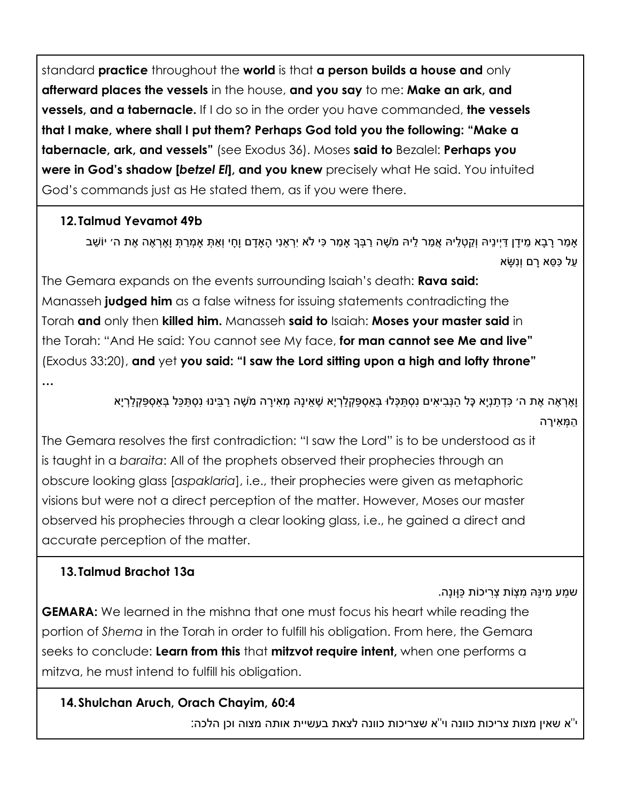standard **practice** throughout the **world** is that **a person builds a house and** only **afterward places the vessels** in the house, **and you say** to me: **Make an ark, and vessels, and a tabernacle.** If I do so in the order you have commanded, **the vessels that I make, where shall I put them? Perhaps God told you the following: "Make a tabernacle, ark, and vessels"** (see Exodus 36). Moses **said to** Bezalel: **Perhaps you were in God's shadow [***betzel El***], and you knew** precisely what He said. You intuited God's commands just as He stated them, as if you were there.

## **12.Talmud Yevamot 49b**

ָאמר רַבָא מִידַן דַיִינֵיהּ וְקַטְלִיהּ אֲמר לִיהּ מֹשֶׁה רַבְּךָ אַמַר כִּי לֹא יִרְאַנִי הָאַדָם וַחָי וְאִתְּ אַמְרַתְּ וַאֲרָאֶה אֶת ה׳ יוֹשַׁב ַעַל כָּסֶא רַם וְנָשֶׂא

The Gemara expands on the events surrounding Isaiah's death: **Rava said:** Manasseh **judged him** as a false witness for issuing statements contradicting the Torah **and** only then **killed him.** Manasseh **said to** Isaiah: **Moses your master said** in the Torah: "And He said: You cannot see My face, **for man cannot see Me and live"** (Exodus 33:20), **and** yet **you said: "I saw the Lord sitting upon a high and lofty throne"**

**…**

וַאֵרְאֶה אֶת ה׳ כַּדְתַנְיַא כָּל הַנְּבִיאִים נִסְתַּכָּלוּ בָּאסְפֵּקְלַרְיֵא שֶׁאֵינַהּ מְאִירַה מֹשֶׁה רַבֵּינוּ נִסְתַּכֶּל בָּאסְפֶּקְלַרְיַא ַה ְּמ ִא ָירה

The Gemara resolves the first contradiction: "I saw the Lord" is to be understood as it is taught in a *baraita*: All of the prophets observed their prophecies through an obscure looking glass [*aspaklaria*], i.e., their prophecies were given as metaphoric visions but were not a direct perception of the matter. However, Moses our master observed his prophecies through a clear looking glass, i.e., he gained a direct and accurate perception of the matter.

# **13.Talmud Brachot 13a**

ַשמע מינּהּ מִצָּוֹת צַריכוֹת כּוּונה.

**GEMARA:** We learned in the mishna that one must focus his heart while reading the portion of *Shema* in the Torah in order to fulfill his obligation. From here, the Gemara seeks to conclude: **Learn from this** that **mitzvot require intent,** when one performs a mitzva, he must intend to fulfill his obligation.

# **14.Shulchan Aruch, Orach Chayim, 60:4**

י"א שאין מצות צריכות כוונה וי"א שצריכות כוונה לצאת בעשיית אותה מצוה וכן הלכה: